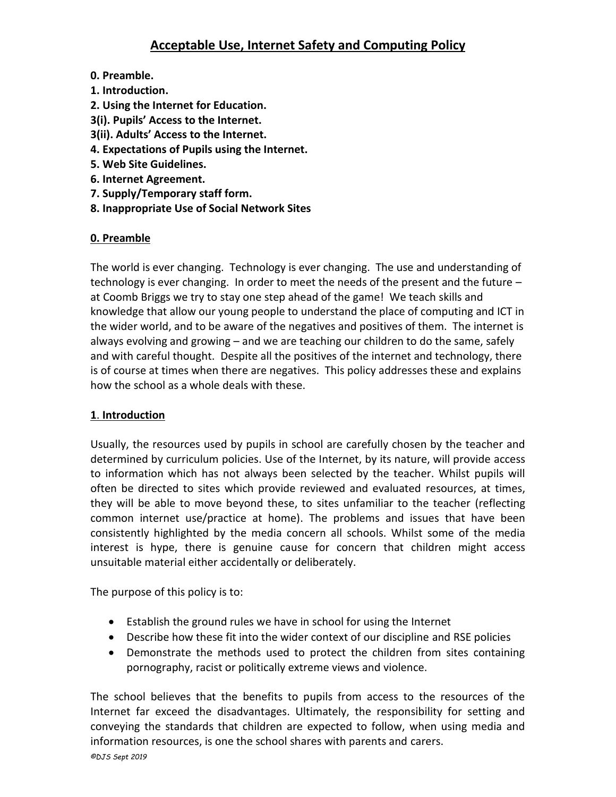# **Acceptable Use, Internet Safety and Computing Policy**

- **0. Preamble.**
- **1. Introduction.**
- **2. Using the Internet for Education.**
- **3(i). Pupils' Access to the Internet.**
- **3(ii). Adults' Access to the Internet.**
- **4. Expectations of Pupils using the Internet.**
- **5. Web Site Guidelines.**
- **6. Internet Agreement.**
- **7. Supply/Temporary staff form.**
- **8. Inappropriate Use of Social Network Sites**

## **0. Preamble**

The world is ever changing. Technology is ever changing. The use and understanding of technology is ever changing. In order to meet the needs of the present and the future – at Coomb Briggs we try to stay one step ahead of the game! We teach skills and knowledge that allow our young people to understand the place of computing and ICT in the wider world, and to be aware of the negatives and positives of them. The internet is always evolving and growing – and we are teaching our children to do the same, safely and with careful thought. Despite all the positives of the internet and technology, there is of course at times when there are negatives. This policy addresses these and explains how the school as a whole deals with these.

## **1**. **Introduction**

Usually, the resources used by pupils in school are carefully chosen by the teacher and determined by curriculum policies. Use of the Internet, by its nature, will provide access to information which has not always been selected by the teacher. Whilst pupils will often be directed to sites which provide reviewed and evaluated resources, at times, they will be able to move beyond these, to sites unfamiliar to the teacher (reflecting common internet use/practice at home). The problems and issues that have been consistently highlighted by the media concern all schools. Whilst some of the media interest is hype, there is genuine cause for concern that children might access unsuitable material either accidentally or deliberately.

The purpose of this policy is to:

- Establish the ground rules we have in school for using the Internet
- Describe how these fit into the wider context of our discipline and RSE policies
- Demonstrate the methods used to protect the children from sites containing pornography, racist or politically extreme views and violence.

The school believes that the benefits to pupils from access to the resources of the Internet far exceed the disadvantages. Ultimately, the responsibility for setting and conveying the standards that children are expected to follow, when using media and information resources, is one the school shares with parents and carers.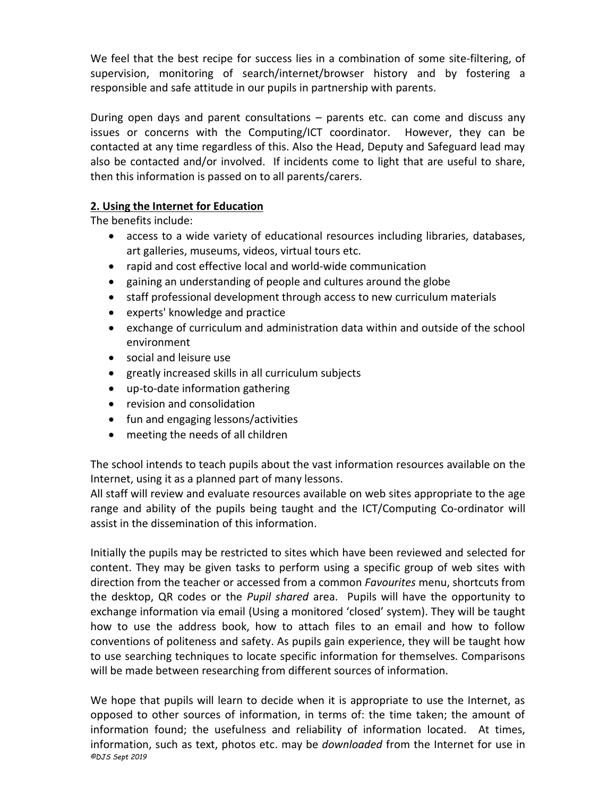We feel that the best recipe for success lies in a combination of some site-filtering, of supervision, monitoring of search/internet/browser history and by fostering a responsible and safe attitude in our pupils in partnership with parents.

During open days and parent consultations – parents etc. can come and discuss any issues or concerns with the Computing/ICT coordinator. However, they can be contacted at any time regardless of this. Also the Head, Deputy and Safeguard lead may also be contacted and/or involved. If incidents come to light that are useful to share, then this information is passed on to all parents/carers.

## **2. Using the Internet for Education**

The benefits include:

- access to a wide variety of educational resources including libraries, databases, art galleries, museums, videos, virtual tours etc.
- rapid and cost effective local and world-wide communication
- gaining an understanding of people and cultures around the globe
- staff professional development through access to new curriculum materials
- experts' knowledge and practice
- exchange of curriculum and administration data within and outside of the school environment
- social and leisure use
- greatly increased skills in all curriculum subjects
- up-to-date information gathering
- revision and consolidation
- fun and engaging lessons/activities
- meeting the needs of all children

The school intends to teach pupils about the vast information resources available on the Internet, using it as a planned part of many lessons.

All staff will review and evaluate resources available on web sites appropriate to the age range and ability of the pupils being taught and the ICT/Computing Co-ordinator will assist in the dissemination of this information.

Initially the pupils may be restricted to sites which have been reviewed and selected for content. They may be given tasks to perform using a specific group of web sites with direction from the teacher or accessed from a common *Favourites* menu, shortcuts from the desktop, QR codes or the *Pupil shared* area. Pupils will have the opportunity to exchange information via email (Using a monitored 'closed' system). They will be taught how to use the address book, how to attach files to an email and how to follow conventions of politeness and safety. As pupils gain experience, they will be taught how to use searching techniques to locate specific information for themselves. Comparisons will be made between researching from different sources of information.

*©DJS Sept 2019* We hope that pupils will learn to decide when it is appropriate to use the Internet, as opposed to other sources of information, in terms of: the time taken; the amount of information found; the usefulness and reliability of information located. At times, information, such as text, photos etc. may be *downloaded* from the Internet for use in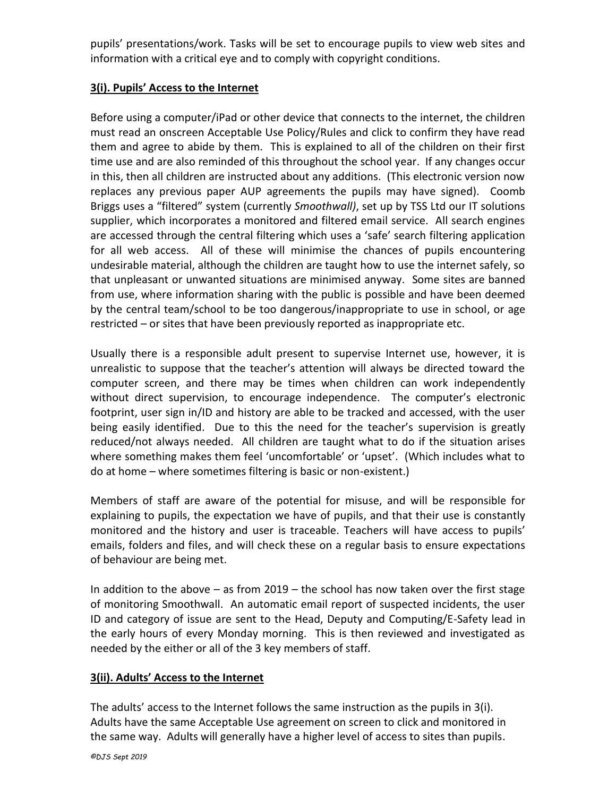pupils' presentations/work. Tasks will be set to encourage pupils to view web sites and information with a critical eye and to comply with copyright conditions.

## **3(i). Pupils' Access to the Internet**

Before using a computer/iPad or other device that connects to the internet, the children must read an onscreen Acceptable Use Policy/Rules and click to confirm they have read them and agree to abide by them. This is explained to all of the children on their first time use and are also reminded of this throughout the school year. If any changes occur in this, then all children are instructed about any additions. (This electronic version now replaces any previous paper AUP agreements the pupils may have signed). Coomb Briggs uses a "filtered" system (currently *Smoothwall)*, set up by TSS Ltd our IT solutions supplier, which incorporates a monitored and filtered email service. All search engines are accessed through the central filtering which uses a 'safe' search filtering application for all web access. All of these will minimise the chances of pupils encountering undesirable material, although the children are taught how to use the internet safely, so that unpleasant or unwanted situations are minimised anyway. Some sites are banned from use, where information sharing with the public is possible and have been deemed by the central team/school to be too dangerous/inappropriate to use in school, or age restricted – or sites that have been previously reported as inappropriate etc.

Usually there is a responsible adult present to supervise Internet use, however, it is unrealistic to suppose that the teacher's attention will always be directed toward the computer screen, and there may be times when children can work independently without direct supervision, to encourage independence. The computer's electronic footprint, user sign in/ID and history are able to be tracked and accessed, with the user being easily identified. Due to this the need for the teacher's supervision is greatly reduced/not always needed. All children are taught what to do if the situation arises where something makes them feel 'uncomfortable' or 'upset'. (Which includes what to do at home – where sometimes filtering is basic or non-existent.)

Members of staff are aware of the potential for misuse, and will be responsible for explaining to pupils, the expectation we have of pupils, and that their use is constantly monitored and the history and user is traceable. Teachers will have access to pupils' emails, folders and files, and will check these on a regular basis to ensure expectations of behaviour are being met.

In addition to the above  $-$  as from 2019  $-$  the school has now taken over the first stage of monitoring Smoothwall. An automatic email report of suspected incidents, the user ID and category of issue are sent to the Head, Deputy and Computing/E-Safety lead in the early hours of every Monday morning. This is then reviewed and investigated as needed by the either or all of the 3 key members of staff.

## **3(ii). Adults' Access to the Internet**

The adults' access to the Internet follows the same instruction as the pupils in 3(i). Adults have the same Acceptable Use agreement on screen to click and monitored in the same way. Adults will generally have a higher level of access to sites than pupils.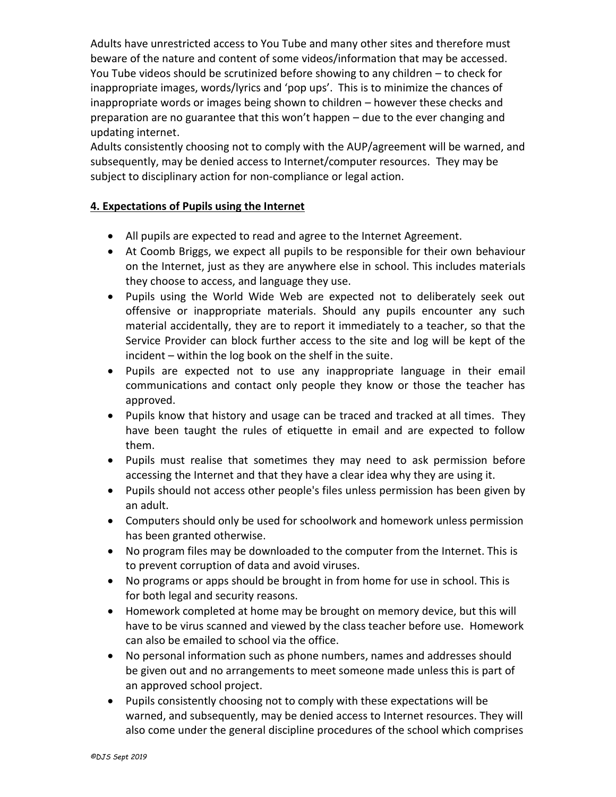Adults have unrestricted access to You Tube and many other sites and therefore must beware of the nature and content of some videos/information that may be accessed. You Tube videos should be scrutinized before showing to any children – to check for inappropriate images, words/lyrics and 'pop ups'. This is to minimize the chances of inappropriate words or images being shown to children – however these checks and preparation are no guarantee that this won't happen – due to the ever changing and updating internet.

Adults consistently choosing not to comply with the AUP/agreement will be warned, and subsequently, may be denied access to Internet/computer resources. They may be subject to disciplinary action for non-compliance or legal action.

### **4. Expectations of Pupils using the Internet**

- All pupils are expected to read and agree to the Internet Agreement.
- At Coomb Briggs, we expect all pupils to be responsible for their own behaviour on the Internet, just as they are anywhere else in school. This includes materials they choose to access, and language they use.
- Pupils using the World Wide Web are expected not to deliberately seek out offensive or inappropriate materials. Should any pupils encounter any such material accidentally, they are to report it immediately to a teacher, so that the Service Provider can block further access to the site and log will be kept of the incident – within the log book on the shelf in the suite.
- Pupils are expected not to use any inappropriate language in their email communications and contact only people they know or those the teacher has approved.
- Pupils know that history and usage can be traced and tracked at all times. They have been taught the rules of etiquette in email and are expected to follow them.
- Pupils must realise that sometimes they may need to ask permission before accessing the Internet and that they have a clear idea why they are using it.
- Pupils should not access other people's files unless permission has been given by an adult.
- Computers should only be used for schoolwork and homework unless permission has been granted otherwise.
- No program files may be downloaded to the computer from the Internet. This is to prevent corruption of data and avoid viruses.
- No programs or apps should be brought in from home for use in school. This is for both legal and security reasons.
- Homework completed at home may be brought on memory device, but this will have to be virus scanned and viewed by the class teacher before use. Homework can also be emailed to school via the office.
- No personal information such as phone numbers, names and addresses should be given out and no arrangements to meet someone made unless this is part of an approved school project.
- Pupils consistently choosing not to comply with these expectations will be warned, and subsequently, may be denied access to Internet resources. They will also come under the general discipline procedures of the school which comprises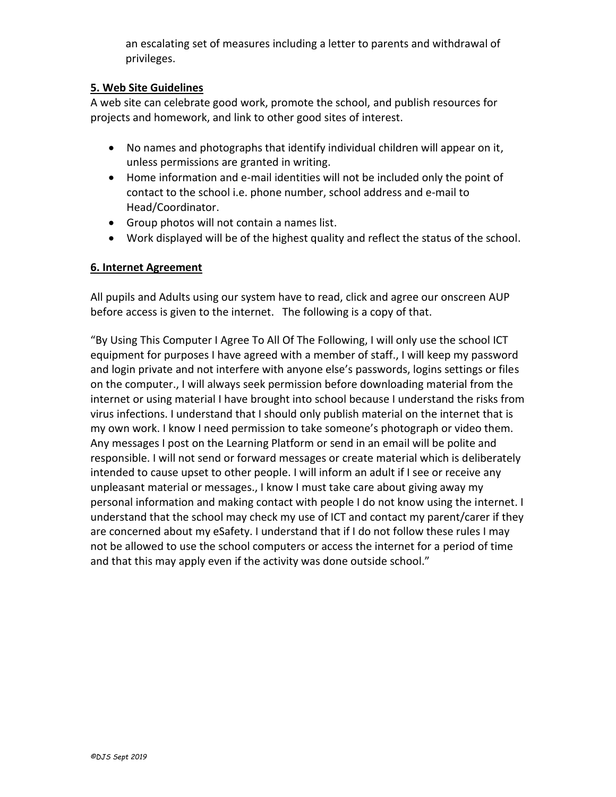an escalating set of measures including a letter to parents and withdrawal of privileges.

## **5. Web Site Guidelines**

A web site can celebrate good work, promote the school, and publish resources for projects and homework, and link to other good sites of interest.

- No names and photographs that identify individual children will appear on it, unless permissions are granted in writing.
- Home information and e-mail identities will not be included only the point of contact to the school i.e. phone number, school address and e-mail to Head/Coordinator.
- Group photos will not contain a names list.
- Work displayed will be of the highest quality and reflect the status of the school.

#### **6. Internet Agreement**

All pupils and Adults using our system have to read, click and agree our onscreen AUP before access is given to the internet. The following is a copy of that.

"By Using This Computer I Agree To All Of The Following, I will only use the school ICT equipment for purposes I have agreed with a member of staff., I will keep my password and login private and not interfere with anyone else's passwords, logins settings or files on the computer., I will always seek permission before downloading material from the internet or using material I have brought into school because I understand the risks from virus infections. I understand that I should only publish material on the internet that is my own work. I know I need permission to take someone's photograph or video them. Any messages I post on the Learning Platform or send in an email will be polite and responsible. I will not send or forward messages or create material which is deliberately intended to cause upset to other people. I will inform an adult if I see or receive any unpleasant material or messages., I know I must take care about giving away my personal information and making contact with people I do not know using the internet. I understand that the school may check my use of ICT and contact my parent/carer if they are concerned about my eSafety. I understand that if I do not follow these rules I may not be allowed to use the school computers or access the internet for a period of time and that this may apply even if the activity was done outside school."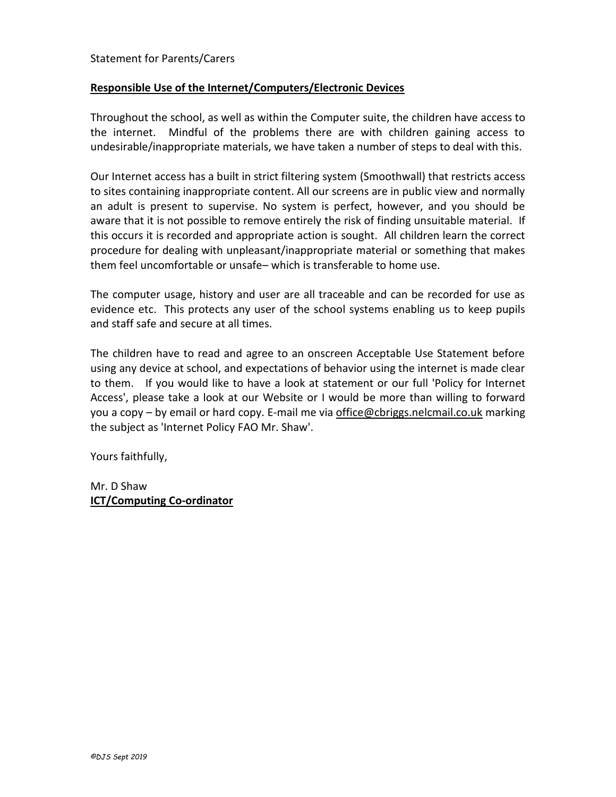#### Statement for Parents/Carers

#### **Responsible Use of the Internet/Computers/Electronic Devices**

Throughout the school, as well as within the Computer suite, the children have access to the internet. Mindful of the problems there are with children gaining access to undesirable/inappropriate materials, we have taken a number of steps to deal with this.

Our Internet access has a built in strict filtering system (Smoothwall) that restricts access to sites containing inappropriate content. All our screens are in public view and normally an adult is present to supervise. No system is perfect, however, and you should be aware that it is not possible to remove entirely the risk of finding unsuitable material. If this occurs it is recorded and appropriate action is sought. All children learn the correct procedure for dealing with unpleasant/inappropriate material or something that makes them feel uncomfortable or unsafe– which is transferable to home use.

The computer usage, history and user are all traceable and can be recorded for use as evidence etc. This protects any user of the school systems enabling us to keep pupils and staff safe and secure at all times.

The children have to read and agree to an onscreen Acceptable Use Statement before using any device at school, and expectations of behavior using the internet is made clear to them. If you would like to have a look at statement or our full 'Policy for Internet Access', please take a look at our Website or I would be more than willing to forward you a copy – by email or hard copy. E-mail me via office@cbriggs.nelcmail.co.uk marking the subject as 'Internet Policy FAO Mr. Shaw'.

Yours faithfully,

Mr. D Shaw **ICT/Computing Co-ordinator**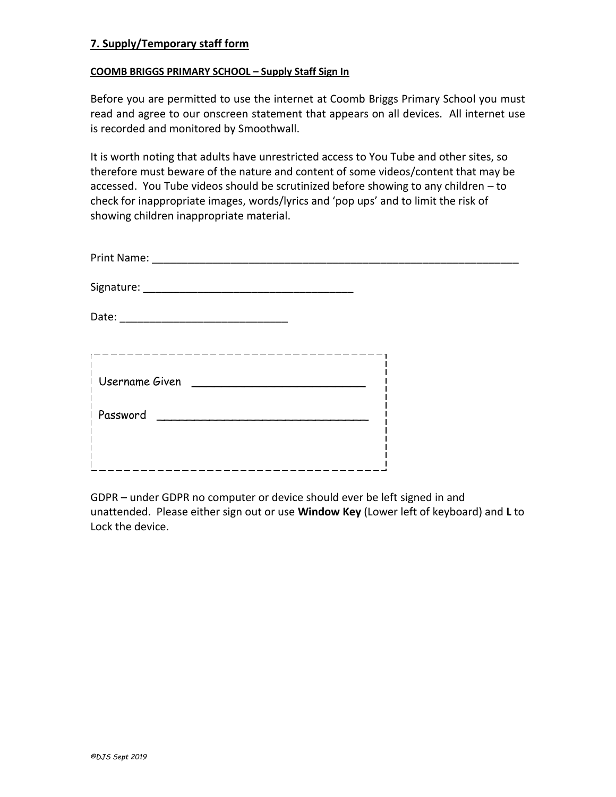#### **7. Supply/Temporary staff form**

#### **COOMB BRIGGS PRIMARY SCHOOL – Supply Staff Sign In**

Before you are permitted to use the internet at Coomb Briggs Primary School you must read and agree to our onscreen statement that appears on all devices. All internet use is recorded and monitored by Smoothwall.

It is worth noting that adults have unrestricted access to You Tube and other sites, so therefore must beware of the nature and content of some videos/content that may be accessed. You Tube videos should be scrutinized before showing to any children – to check for inappropriate images, words/lyrics and 'pop ups' and to limit the risk of showing children inappropriate material.

| Print Name: |  |
|-------------|--|
|             |  |

Signature: \_\_\_\_\_\_\_\_\_\_\_\_\_\_\_\_\_\_\_\_\_\_\_\_\_\_\_\_\_\_\_\_\_\_\_

Date: \_\_\_\_\_\_\_\_\_\_\_\_\_\_\_\_\_\_\_\_\_\_\_\_\_\_\_\_

| Username Given |
|----------------|
| ! Password     |
|                |
|                |

GDPR – under GDPR no computer or device should ever be left signed in and unattended. Please either sign out or use **Window Key** (Lower left of keyboard) and **L** to Lock the device.